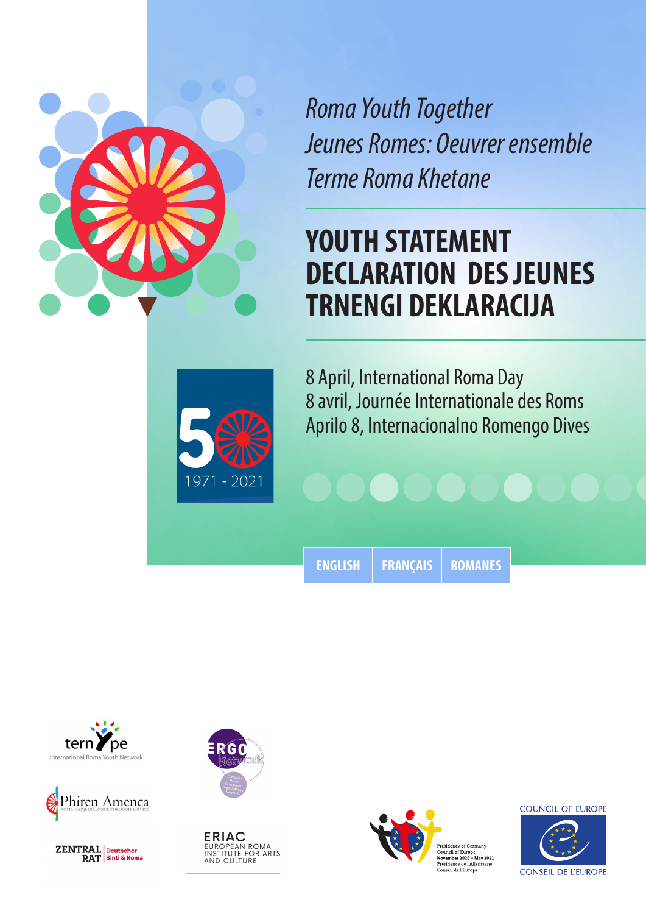

*Roma Youth Together Jeunes Romes: Oeuvrer ensemble Terme Roma Khetane*

# **YOUTH STATEMENT DECLARATION DES JEUNES TRNENGI DEKLARACIJA**



8 April, International Roma Day 8 avril, Journée Internationale des Roms Aprilo 8, Internacionalno Romengo Dives

**[ENGLISH](#page-1-0) [FRANÇAIS](#page-3-0) [ROMANES](#page-5-0)**





 $\frac{\textbf{ZENTRAL}}{\textbf{RAT}} {\small \textsf{Sinti & Roma}}$ 



**ERIAC**<br>EUROPEAN ROMA<br>INSTITUTE FOR ARTS<br>AND CULTURE



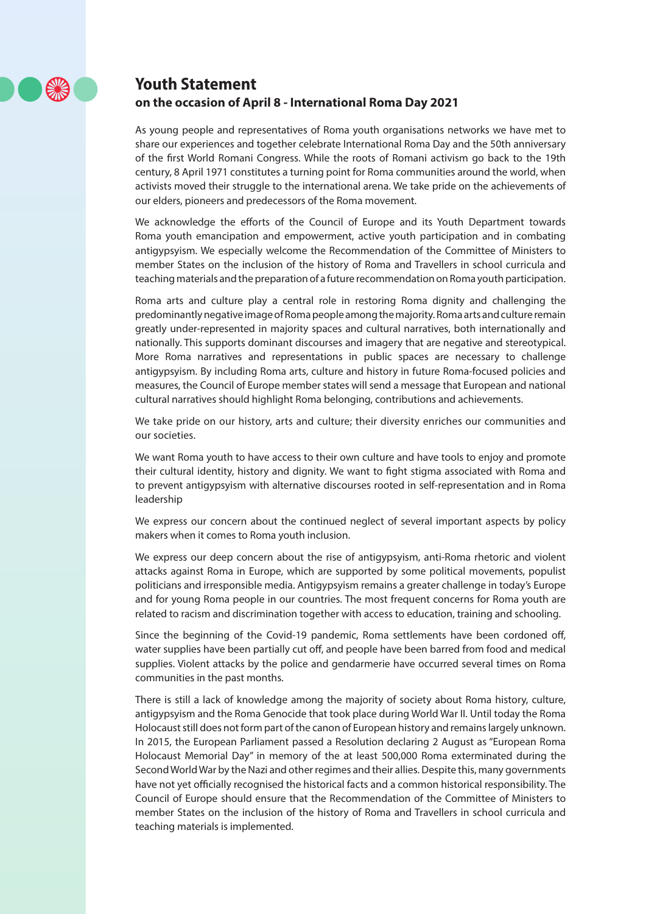

## <span id="page-1-0"></span>**Youth Statement**

#### **on the occasion of April 8 - International Roma Day 2021**

As young people and representatives of Roma youth organisations networks we have met to share our experiences and together celebrate International Roma Day and the 50th anniversary of the first World Romani Congress. While the roots of Romani activism go back to the 19th century, 8 April 1971 constitutes a turning point for Roma communities around the world, when activists moved their struggle to the international arena. We take pride on the achievements of our elders, pioneers and predecessors of the Roma movement.

We acknowledge the efforts of the Council of Europe and its Youth Department towards Roma youth emancipation and empowerment, active youth participation and in combating antigypsyism. We especially welcome the Recommendation of the Committee of Ministers to member States on the inclusion of the history of Roma and Travellers in school curricula and teaching materials and the preparation of a future recommendation on Roma youth participation.

Roma arts and culture play a central role in restoring Roma dignity and challenging the predominantly negative image of Roma people among the majority. Roma arts and culture remain greatly under-represented in majority spaces and cultural narratives, both internationally and nationally. This supports dominant discourses and imagery that are negative and stereotypical. More Roma narratives and representations in public spaces are necessary to challenge antigypsyism. By including Roma arts, culture and history in future Roma-focused policies and measures, the Council of Europe member states will send a message that European and national cultural narratives should highlight Roma belonging, contributions and achievements.

We take pride on our history, arts and culture; their diversity enriches our communities and our societies.

We want Roma youth to have access to their own culture and have tools to enjoy and promote their cultural identity, history and dignity. We want to fight stigma associated with Roma and to prevent antigypsyism with alternative discourses rooted in self-representation and in Roma leadership

We express our concern about the continued neglect of several important aspects by policy makers when it comes to Roma youth inclusion.

We express our deep concern about the rise of antigypsyism, anti-Roma rhetoric and violent attacks against Roma in Europe, which are supported by some political movements, populist politicians and irresponsible media. Antigypsyism remains a greater challenge in today's Europe and for young Roma people in our countries. The most frequent concerns for Roma youth are related to racism and discrimination together with access to education, training and schooling.

Since the beginning of the Covid-19 pandemic, Roma settlements have been cordoned off, water supplies have been partially cut off, and people have been barred from food and medical supplies. Violent attacks by the police and gendarmerie have occurred several times on Roma communities in the past months.

There is still a lack of knowledge among the majority of society about Roma history, culture, antigypsyism and the Roma Genocide that took place during World War II. Until today the Roma Holocaust still does not form part of the canon of European history and remains largely unknown. In 2015, the European Parliament passed a Resolution declaring 2 August as "European Roma Holocaust Memorial Day" in memory of the at least 500,000 Roma exterminated during the Second World War by the Nazi and other regimes and their allies. Despite this, many governments have not yet officially recognised the historical facts and a common historical responsibility. The Council of Europe should ensure that the Recommendation of the Committee of Ministers to member States on the inclusion of the history of Roma and Travellers in school curricula and teaching materials is implemented.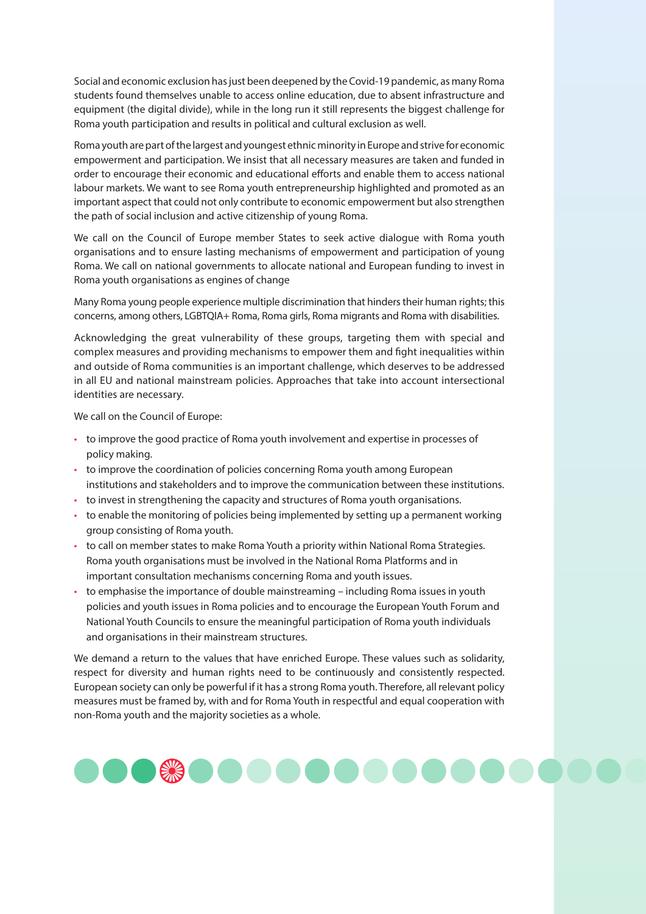Social and economic exclusion has just been deepened by the Covid-19 pandemic, as many Roma students found themselves unable to access online education, due to absent infrastructure and equipment (the digital divide), while in the long run it still represents the biggest challenge for Roma youth participation and results in political and cultural exclusion as well.

Roma youth are part of the largest and youngest ethnic minority in Europe and strive for economic empowerment and participation. We insist that all necessary measures are taken and funded in order to encourage their economic and educational efforts and enable them to access national labour markets. We want to see Roma youth entrepreneurship highlighted and promoted as an important aspect that could not only contribute to economic empowerment but also strengthen the path of social inclusion and active citizenship of young Roma.

We call on the Council of Europe member States to seek active dialogue with Roma youth organisations and to ensure lasting mechanisms of empowerment and participation of young Roma. We call on national governments to allocate national and European funding to invest in Roma youth organisations as engines of change

Many Roma young people experience multiple discrimination that hinders their human rights; this concerns, among others, LGBTQIA+ Roma, Roma girls, Roma migrants and Roma with disabilities.

Acknowledging the great vulnerability of these groups, targeting them with special and complex measures and providing mechanisms to empower them and fight inequalities within and outside of Roma communities is an important challenge, which deserves to be addressed in all EU and national mainstream policies. Approaches that take into account intersectional identities are necessary.

We call on the Council of Europe:

- to improve the good practice of Roma youth involvement and expertise in processes of policy making.
- to improve the coordination of policies concerning Roma youth among European institutions and stakeholders and to improve the communication between these institutions.
- to invest in strengthening the capacity and structures of Roma youth organisations.
- to enable the monitoring of policies being implemented by setting up a permanent working group consisting of Roma youth.
- to call on member states to make Roma Youth a priority within National Roma Strategies. Roma youth organisations must be involved in the National Roma Platforms and in important consultation mechanisms concerning Roma and youth issues.
- to emphasise the importance of double mainstreaming including Roma issues in youth policies and youth issues in Roma policies and to encourage the European Youth Forum and National Youth Councils to ensure the meaningful participation of Roma youth individuals and organisations in their mainstream structures.

We demand a return to the values that have enriched Europe. These values such as solidarity, respect for diversity and human rights need to be continuously and consistently respected. European society can only be powerful if it has a strong Roma youth. Therefore, all relevant policy measures must be framed by, with and for Roma Youth in respectful and equal cooperation with non-Roma youth and the majority societies as a whole.

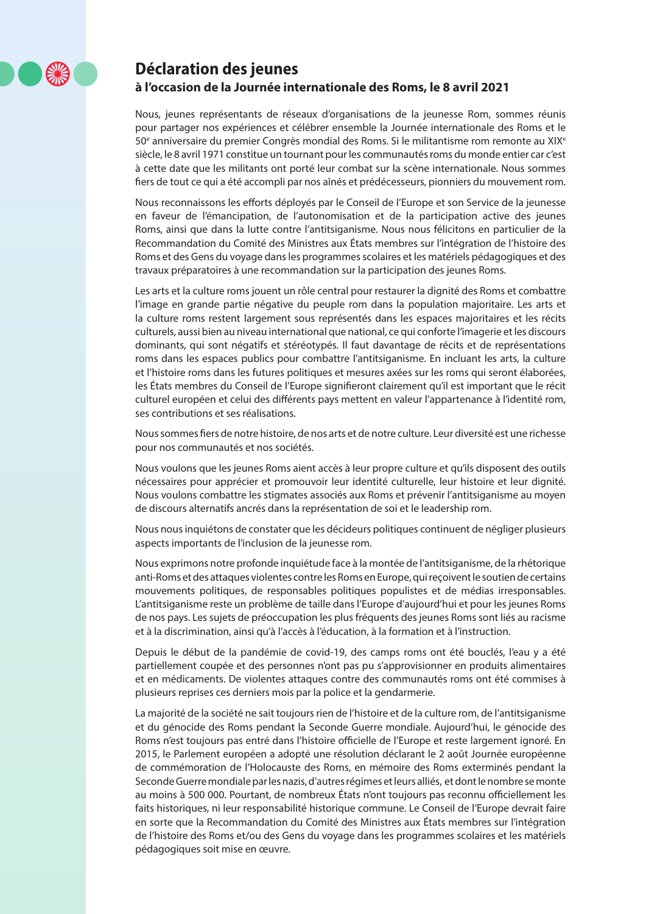

## <span id="page-3-0"></span>**Déclaration des jeunes à l'occasion de la Journée internationale des Roms, le 8 avril 2021**

Nous, jeunes représentants de réseaux d'organisations de la jeunesse Rom, sommes réunis pour partager nos expériences et célébrer ensemble la Journée internationale des Roms et le 50<sup>e</sup> anniversaire du premier Congrès mondial des Roms. Si le militantisme rom remonte au XIX<sup>e</sup> siècle, le 8 avril 1971 constitue un tournant pour les communautés roms du monde entier car c'est à cette date que les militants ont porté leur combat sur la scène internationale. Nous sommes fiers de tout ce qui a été accompli par nos aînés et prédécesseurs, pionniers du mouvement rom.

Nous reconnaissons les efforts déployés par le Conseil de l'Europe et son Service de la jeunesse en faveur de l'émancipation, de l'autonomisation et de la participation active des jeunes Roms, ainsi que dans la lutte contre l'antitsiganisme. Nous nous félicitons en particulier de la Recommandation du Comité des Ministres aux États membres sur l'intégration de l'histoire des Roms et des Gens du voyage dans les programmes scolaires et les matériels pédagogiques et des travaux préparatoires à une recommandation sur la participation des jeunes Roms.

Les arts et la culture roms jouent un rôle central pour restaurer la dignité des Roms et combattre l'image en grande partie négative du peuple rom dans la population majoritaire. Les arts et la culture roms restent largement sous représentés dans les espaces majoritaires et les récits culturels, aussi bien au niveau international que national, ce qui conforte l'imagerie et les discours dominants, qui sont négatifs et stéréotypés. Il faut davantage de récits et de représentations roms dans les espaces publics pour combattre l'antitsiganisme. En incluant les arts, la culture et l'histoire roms dans les futures politiques et mesures axées sur les roms qui seront élaborées, les États membres du Conseil de l'Europe signifieront clairement qu'il est important que le récit culturel européen et celui des différents pays mettent en valeur l'appartenance à l'identité rom, ses contributions et ses réalisations.

Nous sommes fiers de notre histoire, de nos arts et de notre culture. Leur diversité est une richesse pour nos communautés et nos sociétés.

Nous voulons que les jeunes Roms aient accès à leur propre culture et qu'ils disposent des outils nécessaires pour apprécier et promouvoir leur identité culturelle, leur histoire et leur dignité. Nous voulons combattre les stigmates associés aux Roms et prévenir l'antitsiganisme au moyen de discours alternatifs ancrés dans la représentation de soi et le leadership rom.

Nous nous inquiétons de constater que les décideurs politiques continuent de négliger plusieurs aspects importants de l'inclusion de la jeunesse rom.

Nous exprimons notre profonde inquiétude face à la montée de l'antitsiganisme, de la rhétorique anti-Roms et des attaques violentes contre les Roms en Europe, qui reçoivent le soutien de certains mouvements politiques, de responsables politiques populistes et de médias irresponsables. L'antitsiganisme reste un problème de taille dans l'Europe d'aujourd'hui et pour les jeunes Roms de nos pays. Les sujets de préoccupation les plus fréquents des jeunes Roms sont liés au racisme et à la discrimination, ainsi qu'à l'accès à l'éducation, à la formation et à l'instruction.

Depuis le début de la pandémie de covid-19, des camps roms ont été bouclés, l'eau y a été partiellement coupée et des personnes n'ont pas pu s'approvisionner en produits alimentaires et en médicaments. De violentes attaques contre des communautés roms ont été commises à plusieurs reprises ces derniers mois par la police et la gendarmerie.

La majorité de la société ne sait toujours rien de l'histoire et de la culture rom, de l'antitsiganisme et du génocide des Roms pendant la Seconde Guerre mondiale. Aujourd'hui, le génocide des Roms n'est toujours pas entré dans l'histoire officielle de l'Europe et reste largement ignoré. En 2015, le Parlement européen a adopté une résolution déclarant le 2 août Journée européenne de commémoration de l'Holocauste des Roms, en mémoire des Roms exterminés pendant la Seconde Guerre mondiale par les nazis, d'autres régimes et leurs alliés, et dont le nombre se monte au moins à 500 000. Pourtant, de nombreux États n'ont toujours pas reconnu officiellement les faits historiques, ni leur responsabilité historique commune. Le Conseil de l'Europe devrait faire en sorte que la Recommandation du Comité des Ministres aux États membres sur l'intégration de l'histoire des Roms et/ou des Gens du voyage dans les programmes scolaires et les matériels pédagogiques soit mise en œuvre.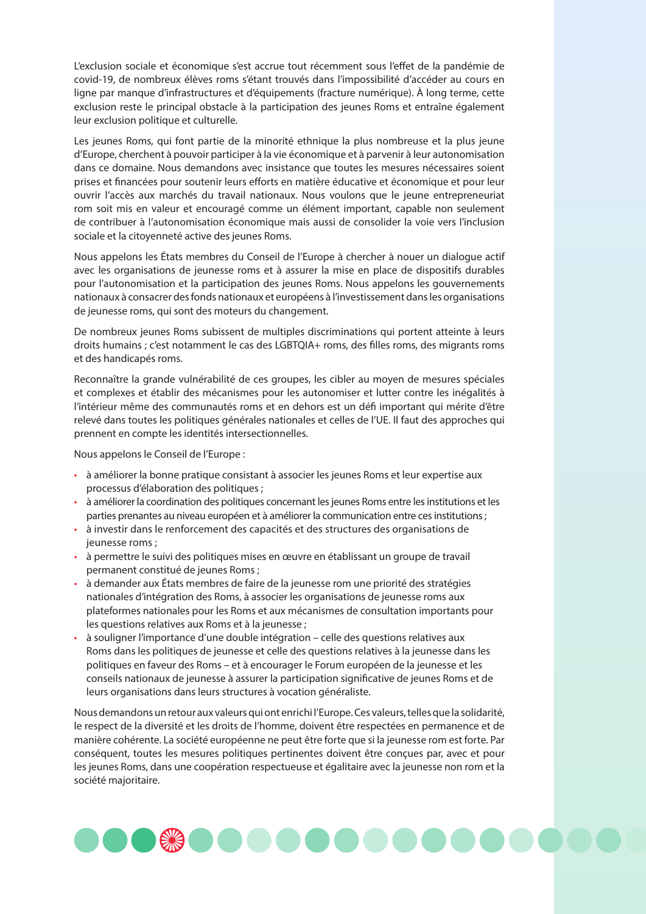L'exclusion sociale et économique s'est accrue tout récemment sous l'effet de la pandémie de covid-19, de nombreux élèves roms s'étant trouvés dans l'impossibilité d'accéder au cours en ligne par manque d'infrastructures et d'équipements (fracture numérique). À long terme, cette exclusion reste le principal obstacle à la participation des jeunes Roms et entraîne également leur exclusion politique et culturelle.

Les jeunes Roms, qui font partie de la minorité ethnique la plus nombreuse et la plus jeune d'Europe, cherchent à pouvoir participer à la vie économique et à parvenir à leur autonomisation dans ce domaine. Nous demandons avec insistance que toutes les mesures nécessaires soient prises et financées pour soutenir leurs efforts en matière éducative et économique et pour leur ouvrir l'accès aux marchés du travail nationaux. Nous voulons que le jeune entrepreneuriat rom soit mis en valeur et encouragé comme un élément important, capable non seulement de contribuer à l'autonomisation économique mais aussi de consolider la voie vers l'inclusion sociale et la citoyenneté active des jeunes Roms.

Nous appelons les États membres du Conseil de l'Europe à chercher à nouer un dialogue actif avec les organisations de jeunesse roms et à assurer la mise en place de dispositifs durables pour l'autonomisation et la participation des jeunes Roms. Nous appelons les gouvernements nationaux à consacrer des fonds nationaux et européens à l'investissement dans les organisations de jeunesse roms, qui sont des moteurs du changement.

De nombreux jeunes Roms subissent de multiples discriminations qui portent atteinte à leurs droits humains ; c'est notamment le cas des LGBTQIA+ roms, des filles roms, des migrants roms et des handicapés roms.

Reconnaître la grande vulnérabilité de ces groupes, les cibler au moyen de mesures spéciales et complexes et établir des mécanismes pour les autonomiser et lutter contre les inégalités à l'intérieur même des communautés roms et en dehors est un défi important qui mérite d'être relevé dans toutes les politiques générales nationales et celles de l'UE. Il faut des approches qui prennent en compte les identités intersectionnelles.

Nous appelons le Conseil de l'Europe :

- à améliorer la bonne pratique consistant à associer les jeunes Roms et leur expertise aux processus d'élaboration des politiques ;
- à améliorer la coordination des politiques concernant les jeunes Roms entre les institutions et les parties prenantes au niveau européen et à améliorer la communication entre ces institutions ;
- à investir dans le renforcement des capacités et des structures des organisations de jeunesse roms ;
- à permettre le suivi des politiques mises en œuvre en établissant un groupe de travail permanent constitué de jeunes Roms ;
- à demander aux États membres de faire de la jeunesse rom une priorité des stratégies nationales d'intégration des Roms, à associer les organisations de jeunesse roms aux plateformes nationales pour les Roms et aux mécanismes de consultation importants pour les questions relatives aux Roms et à la jeunesse ;
- à souligner l'importance d'une double intégration celle des questions relatives aux Roms dans les politiques de jeunesse et celle des questions relatives à la jeunesse dans les politiques en faveur des Roms – et à encourager le Forum européen de la jeunesse et les conseils nationaux de jeunesse à assurer la participation significative de jeunes Roms et de leurs organisations dans leurs structures à vocation généraliste.

Nous demandons un retour aux valeurs qui ont enrichi l'Europe. Ces valeurs, telles que la solidarité, le respect de la diversité et les droits de l'homme, doivent être respectées en permanence et de manière cohérente. La société européenne ne peut être forte que si la jeunesse rom est forte. Par conséquent, toutes les mesures politiques pertinentes doivent être conçues par, avec et pour les jeunes Roms, dans une coopération respectueuse et égalitaire avec la jeunesse non rom et la société majoritaire.

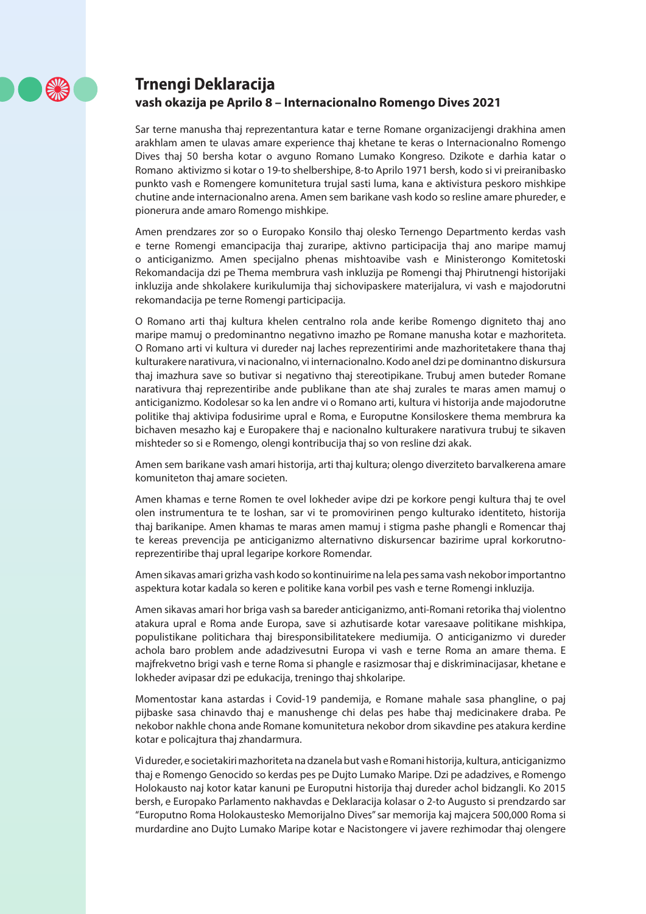

## <span id="page-5-0"></span>**Trnengi Deklaracija**

#### **vash okazija pe Aprilo 8 – Internacionalno Romengo Dives 2021**

Sar terne manusha thaj reprezentantura katar e terne Romane organizacijengi drakhina amen arakhlam amen te ulavas amare experience thaj khetane te keras o Internacionalno Romengo Dives thaj 50 bersha kotar o avguno Romano Lumako Kongreso. Dzikote e darhia katar o Romano aktivizmo si kotar o 19-to shelbershipe, 8-to Aprilo 1971 bersh, kodo si vi preiranibasko punkto vash e Romengere komunitetura trujal sasti luma, kana e aktivistura peskoro mishkipe chutine ande internacionalno arena. Amen sem barikane vash kodo so resline amare phureder, e pionerura ande amaro Romengo mishkipe.

Amen prendzares zor so o Europako Konsilo thaj olesko Ternengo Departmento kerdas vash e terne Romengi emancipacija thaj zuraripe, aktivno participacija thaj ano maripe mamuj o anticiganizmo. Amen specijalno phenas mishtoavibe vash e Ministerongo Komitetoski Rekomandacija dzi pe Thema membrura vash inkluzija pe Romengi thaj Phirutnengi historijaki inkluzija ande shkolakere kurikulumija thaj sichovipaskere materijalura, vi vash e majodorutni rekomandacija pe terne Romengi participacija.

O Romano arti thaj kultura khelen centralno rola ande keribe Romengo digniteto thaj ano maripe mamuj o predominantno negativno imazho pe Romane manusha kotar e mazhoriteta. O Romano arti vi kultura vi dureder naj laches reprezentirimi ande mazhoritetakere thana thaj kulturakere narativura, vi nacionalno, vi internacionalno. Kodo anel dzi pe dominantno diskursura thaj imazhura save so butivar si negativno thaj stereotipikane. Trubuj amen buteder Romane narativura thaj reprezentiribe ande publikane than ate shaj zurales te maras amen mamuj o anticiganizmo. Kodolesar so ka len andre vi o Romano arti, kultura vi historija ande majodorutne politike thaj aktivipa fodusirime upral e Roma, e Europutne Konsiloskere thema membrura ka bichaven mesazho kaj e Europakere thaj e nacionalno kulturakere narativura trubuj te sikaven mishteder so si e Romengo, olengi kontribucija thaj so von resline dzi akak.

Amen sem barikane vash amari historija, arti thaj kultura; olengo diverziteto barvalkerena amare komuniteton thaj amare societen.

Amen khamas e terne Romen te ovel lokheder avipe dzi pe korkore pengi kultura thaj te ovel olen instrumentura te te loshan, sar vi te promovirinen pengo kulturako identiteto, historija thaj barikanipe. Amen khamas te maras amen mamuj i stigma pashe phangli e Romencar thaj te kereas prevencija pe anticiganizmo alternativno diskursencar bazirime upral korkorutnoreprezentiribe thaj upral legaripe korkore Romendar.

Amen sikavas amari grizha vash kodo so kontinuirime na lela pes sama vash nekobor importantno aspektura kotar kadala so keren e politike kana vorbil pes vash e terne Romengi inkluzija.

Amen sikavas amari hor briga vash sa bareder anticiganizmo, anti-Romani retorika thaj violentno atakura upral e Roma ande Europa, save si azhutisarde kotar varesaave politikane mishkipa, populistikane politichara thaj biresponsibilitatekere mediumija. O anticiganizmo vi dureder achola baro problem ande adadzivesutni Europa vi vash e terne Roma an amare thema. E majfrekvetno brigi vash e terne Roma si phangle e rasizmosar thaj e diskriminacijasar, khetane e lokheder avipasar dzi pe edukacija, treningo thaj shkolaripe.

Momentostar kana astardas i Covid-19 pandemija, e Romane mahale sasa phangline, o paj pijbaske sasa chinavdo thaj e manushenge chi delas pes habe thaj medicinakere draba. Pe nekobor nakhle chona ande Romane komunitetura nekobor drom sikavdine pes atakura kerdine kotar e policajtura thaj zhandarmura.

Vi dureder, e societakiri mazhoriteta na dzanela but vash e Romani historija, kultura, anticiganizmo thaj e Romengo Genocido so kerdas pes pe Dujto Lumako Maripe. Dzi pe adadzives, e Romengo Holokausto naj kotor katar kanuni pe Europutni historija thaj dureder achol bidzangli. Ko 2015 bersh, e Europako Parlamento nakhavdas e Deklaracija kolasar o 2-to Augusto si prendzardo sar "Europutno Roma Holokaustesko Memorijalno Dives" sar memorija kaj majcera 500,000 Roma si murdardine ano Dujto Lumako Maripe kotar e Nacistongere vi javere rezhimodar thaj olengere